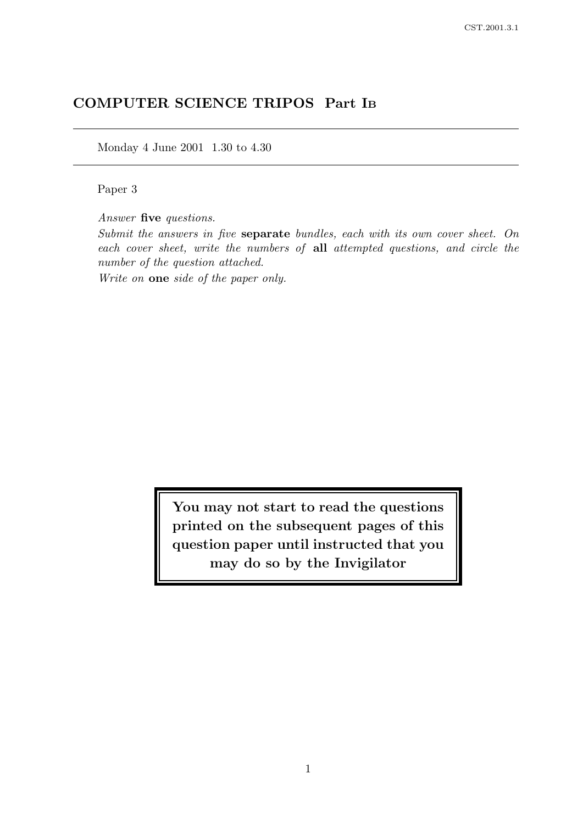# COMPUTER SCIENCE TRIPOS Part I<sup>B</sup>

Monday 4 June 2001 1.30 to 4.30

Paper 3

Answer five questions.

Submit the answers in five separate bundles, each with its own cover sheet. On each cover sheet, write the numbers of all attempted questions, and circle the number of the question attached.

Write on one side of the paper only.

You may not start to read the questions printed on the subsequent pages of this question paper until instructed that you may do so by the Invigilator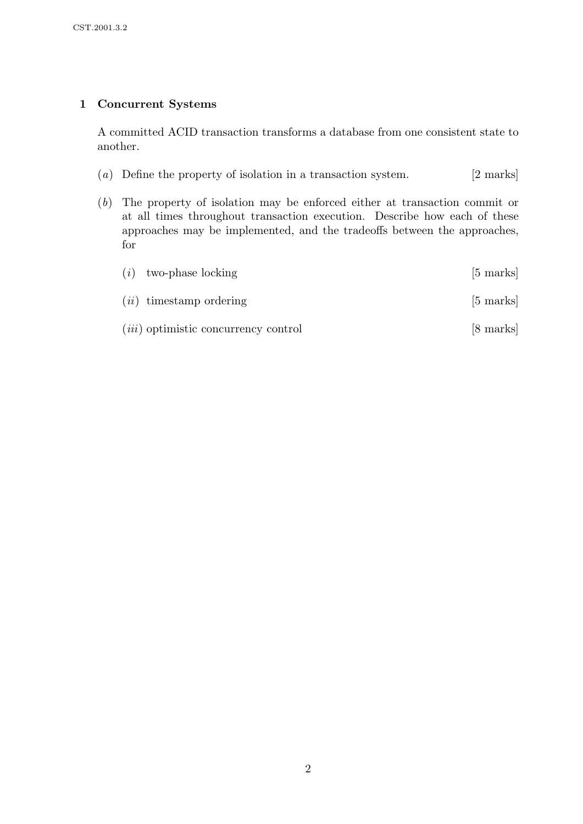# 1 Concurrent Systems

A committed ACID transaction transforms a database from one consistent state to another.

- (a) Define the property of isolation in a transaction system. [2 marks]
- (b) The property of isolation may be enforced either at transaction commit or at all times throughout transaction execution. Describe how each of these approaches may be implemented, and the tradeoffs between the approaches, for

| (i) | two-phase locking                           | $[5 \text{ marks}]$ |
|-----|---------------------------------------------|---------------------|
|     | $(ii)$ timestamp ordering                   | $[5 \text{ marks}]$ |
|     | <i>(iii)</i> optimistic concurrency control | [8 marks]           |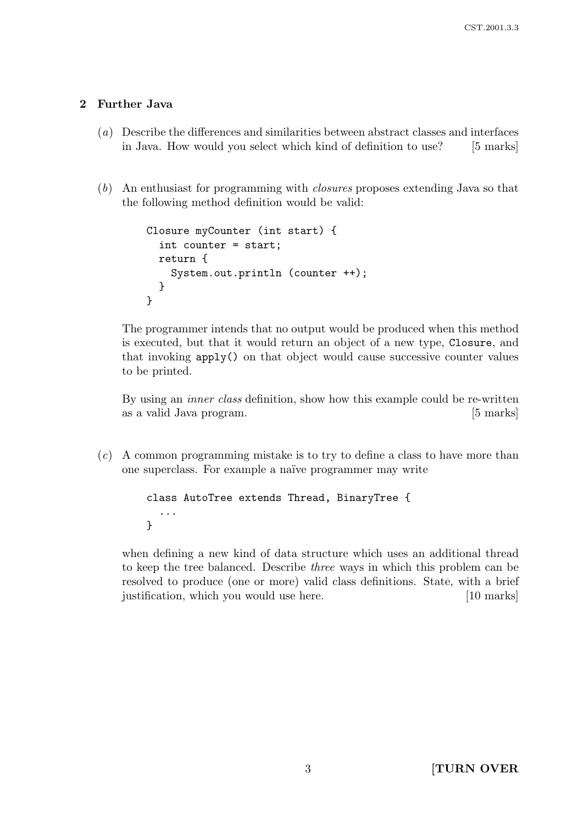## 2 Further Java

- (a) Describe the differences and similarities between abstract classes and interfaces in Java. How would you select which kind of definition to use? [5 marks]
- (b) An enthusiast for programming with closures proposes extending Java so that the following method definition would be valid:

```
Closure myCounter (int start) {
  int counter = start;
  return {
    System.out.println (counter ++);
  }
}
```
The programmer intends that no output would be produced when this method is executed, but that it would return an object of a new type, Closure, and that invoking apply() on that object would cause successive counter values to be printed.

By using an inner class definition, show how this example could be re-written as a valid Java program. [5 marks]

(c) A common programming mistake is to try to define a class to have more than one superclass. For example a naïve programmer may write

```
class AutoTree extends Thread, BinaryTree {
  ...
}
```
when defining a new kind of data structure which uses an additional thread to keep the tree balanced. Describe three ways in which this problem can be resolved to produce (one or more) valid class definitions. State, with a brief justification, which you would use here. [10 marks]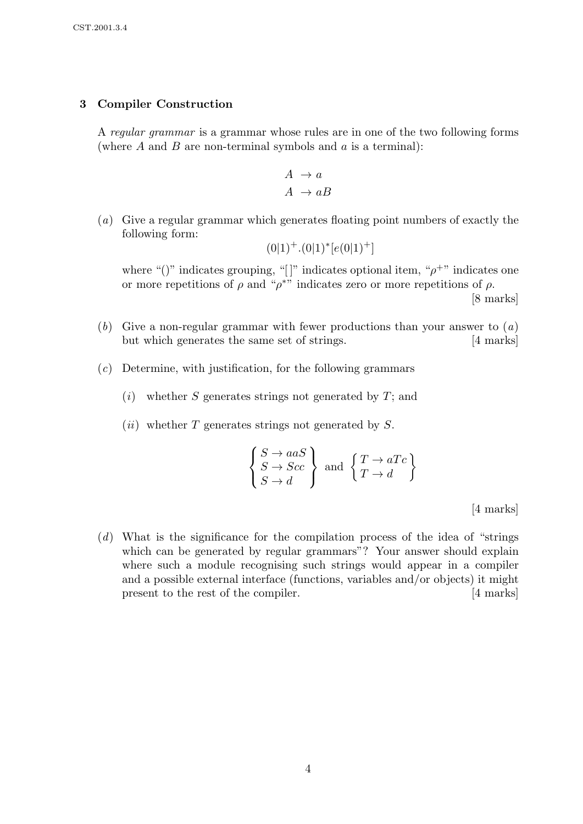### 3 Compiler Construction

A regular grammar is a grammar whose rules are in one of the two following forms (where  $A$  and  $B$  are non-terminal symbols and  $a$  is a terminal):

$$
\begin{array}{c} A \rightarrow a \\ A \rightarrow aB \end{array}
$$

(a) Give a regular grammar which generates floating point numbers of exactly the following form:

$$
(0|1)^+.(0|1)^*[e(0|1)^+]
$$

where "()" indicates grouping, "[]" indicates optional item, " $\rho^{+}$ " indicates one or more repetitions of  $\rho$  and " $\rho^*$ " indicates zero or more repetitions of  $\rho$ .

[8 marks]

- (b) Give a non-regular grammar with fewer productions than your answer to  $(a)$ but which generates the same set of strings. [4 marks]
- (c) Determine, with justification, for the following grammars
	- $(i)$  whether S generates strings not generated by T; and
	- $(ii)$  whether T generates strings not generated by S.

$$
\begin{Bmatrix} S \to aaS \\ S \to Scc \\ S \to d \end{Bmatrix} \text{ and } \begin{Bmatrix} T \to aTc \\ T \to d \end{Bmatrix}
$$

[4 marks]

(d) What is the significance for the compilation process of the idea of "strings which can be generated by regular grammars"? Your answer should explain where such a module recognising such strings would appear in a compiler and a possible external interface (functions, variables and/or objects) it might present to the rest of the compiler. [4 marks]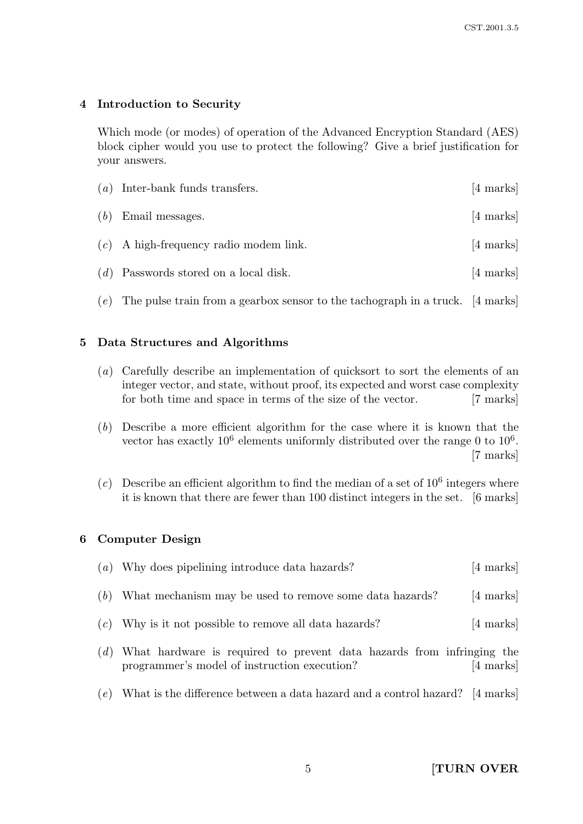## 4 Introduction to Security

Which mode (or modes) of operation of the Advanced Encryption Standard (AES) block cipher would you use to protect the following? Give a brief justification for your answers.

|     | $(a)$ Inter-bank funds transfers.                                                 | $[4 \text{ marks}]$ |
|-----|-----------------------------------------------------------------------------------|---------------------|
| (b) | Email messages.                                                                   | $[4 \text{ marks}]$ |
|     | $(c)$ A high-frequency radio modem link.                                          | [4 marks]           |
|     | $(d)$ Passwords stored on a local disk.                                           | [4 marks]           |
|     | (e) The pulse train from a gearbox sensor to the tachograph in a truck. [4 marks] |                     |

# 5 Data Structures and Algorithms

- (a) Carefully describe an implementation of quicksort to sort the elements of an integer vector, and state, without proof, its expected and worst case complexity for both time and space in terms of the size of the vector. [7 marks]
- (b) Describe a more efficient algorithm for the case where it is known that the vector has exactly  $10^6$  elements uniformly distributed over the range 0 to  $10^6$ . [7 marks]
- (c) Describe an efficient algorithm to find the median of a set of  $10^6$  integers where it is known that there are fewer than 100 distinct integers in the set. [6 marks]

### 6 Computer Design

|     | (a) Why does pipelining introduce data hazards?                                                                       | $[4 \text{ marks}]$ |
|-----|-----------------------------------------------------------------------------------------------------------------------|---------------------|
|     | $(b)$ What mechanism may be used to remove some data hazards?                                                         | $[4 \text{ marks}]$ |
|     | $(c)$ Why is it not possible to remove all data hazards?                                                              | $[4 \text{ marks}]$ |
| (d) | What hardware is required to prevent data hazards from infringing the<br>programmer's model of instruction execution? | [4 marks]           |

 $(e)$  What is the difference between a data hazard and a control hazard? [4 marks]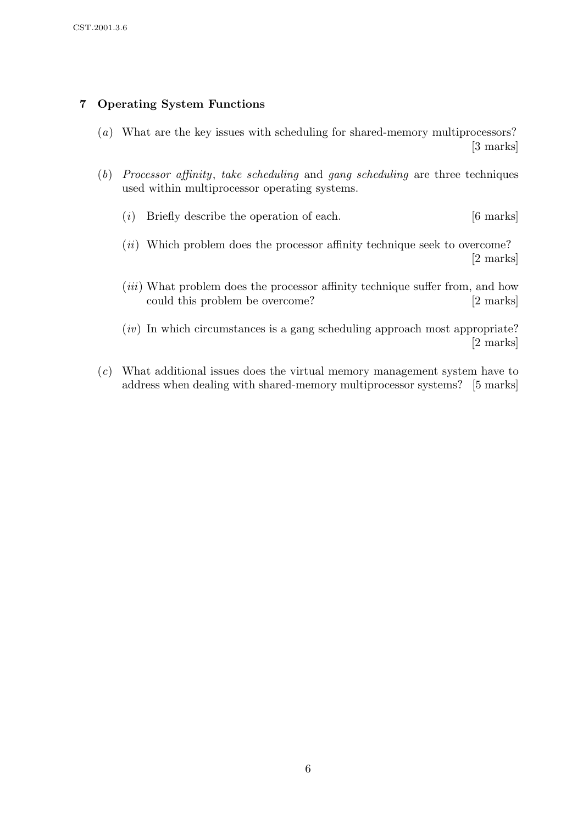# 7 Operating System Functions

- (a) What are the key issues with scheduling for shared-memory multiprocessors? [3 marks]
- (b) Processor affinity, take scheduling and gang scheduling are three techniques used within multiprocessor operating systems.
	- (i) Briefly describe the operation of each.  $[6 \text{ marks}]$
	- (*ii*) Which problem does the processor affinity technique seek to overcome? [2 marks]
	- (*iii*) What problem does the processor affinity technique suffer from, and how could this problem be overcome? [2 marks]
	- $(iv)$  In which circumstances is a gang scheduling approach most appropriate? [2 marks]
- (c) What additional issues does the virtual memory management system have to address when dealing with shared-memory multiprocessor systems? [5 marks]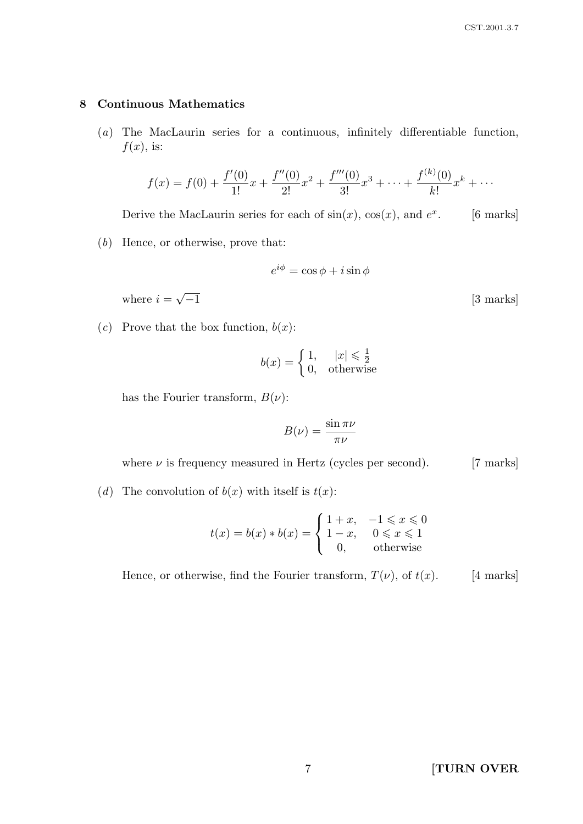#### 8 Continuous Mathematics

(a) The MacLaurin series for a continuous, infinitely differentiable function,  $f(x)$ , is:

$$
f(x) = f(0) + \frac{f'(0)}{1!}x + \frac{f''(0)}{2!}x^2 + \frac{f'''(0)}{3!}x^3 + \dots + \frac{f^{(k)}(0)}{k!}x^k + \dots
$$

Derive the MacLaurin series for each of  $sin(x)$ ,  $cos(x)$ , and  $e^x$ [6 marks]

(b) Hence, or otherwise, prove that:

$$
e^{i\phi} = \cos\phi + i\sin\phi
$$

where  $i =$ √

(c) Prove that the box function,  $b(x)$ :

$$
b(x) = \begin{cases} 1, & |x| \le \frac{1}{2} \\ 0, & \text{otherwise} \end{cases}
$$

has the Fourier transform,  $B(\nu)$ :

$$
B(\nu) = \frac{\sin \pi \nu}{\pi \nu}
$$

where  $\nu$  is frequency measured in Hertz (cycles per second). [7 marks]

(d) The convolution of  $b(x)$  with itself is  $t(x)$ :

$$
t(x) = b(x) * b(x) = \begin{cases} 1+x, & -1 \leq x \leq 0 \\ 1-x, & 0 \leq x \leq 1 \\ 0, & \text{otherwise} \end{cases}
$$

Hence, or otherwise, find the Fourier transform,  $T(\nu)$ , of  $t(x)$ . [4 marks]

[3 marks]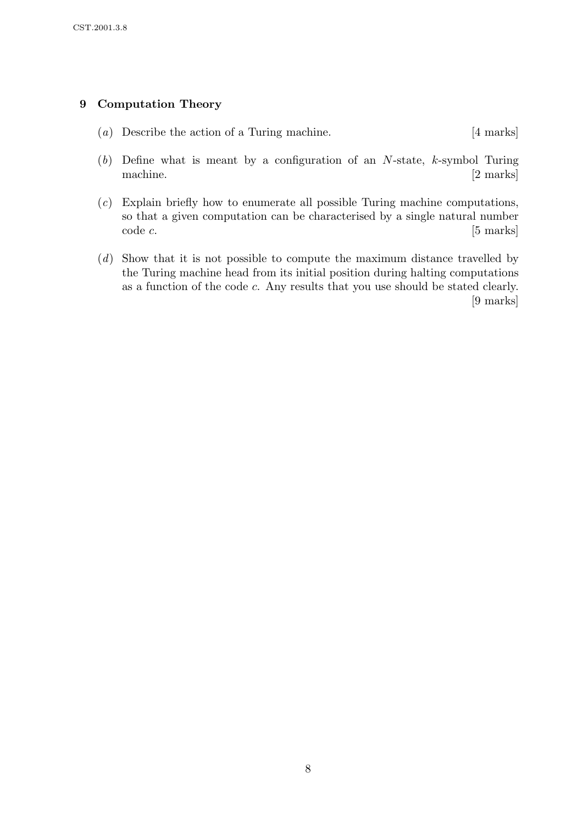## 9 Computation Theory

- (a) Describe the action of a Turing machine. [4 marks]
- $(b)$  Define what is meant by a configuration of an N-state, k-symbol Turing machine. [2 marks]
- (c) Explain briefly how to enumerate all possible Turing machine computations, so that a given computation can be characterised by a single natural number code c. [5 marks]
- (d) Show that it is not possible to compute the maximum distance travelled by the Turing machine head from its initial position during halting computations as a function of the code c. Any results that you use should be stated clearly. [9 marks]